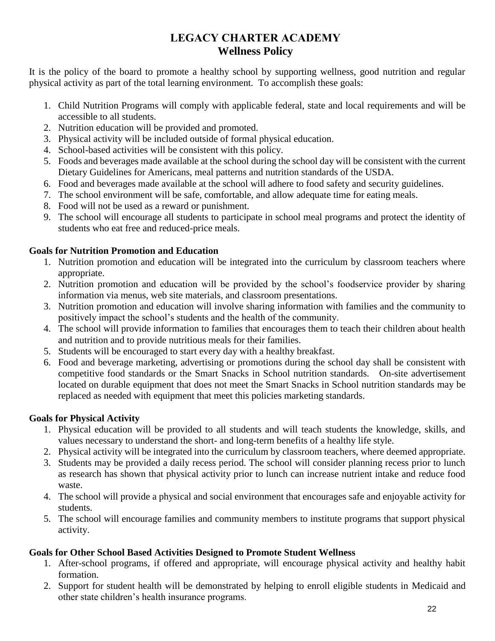# **LEGACY CHARTER ACADEMY Wellness Policy**

It is the policy of the board to promote a healthy school by supporting wellness, good nutrition and regular physical activity as part of the total learning environment. To accomplish these goals:

- 1. Child Nutrition Programs will comply with applicable federal, state and local requirements and will be accessible to all students.
- 2. Nutrition education will be provided and promoted.
- 3. Physical activity will be included outside of formal physical education.
- 4. School-based activities will be consistent with this policy.
- 5. Foods and beverages made available at the school during the school day will be consistent with the current Dietary Guidelines for Americans, meal patterns and nutrition standards of the USDA.
- 6. Food and beverages made available at the school will adhere to food safety and security guidelines.
- 7. The school environment will be safe, comfortable, and allow adequate time for eating meals.
- 8. Food will not be used as a reward or punishment.
- 9. The school will encourage all students to participate in school meal programs and protect the identity of students who eat free and reduced-price meals.

### **Goals for Nutrition Promotion and Education**

- 1. Nutrition promotion and education will be integrated into the curriculum by classroom teachers where appropriate.
- 2. Nutrition promotion and education will be provided by the school's foodservice provider by sharing information via menus, web site materials, and classroom presentations.
- 3. Nutrition promotion and education will involve sharing information with families and the community to positively impact the school's students and the health of the community.
- 4. The school will provide information to families that encourages them to teach their children about health and nutrition and to provide nutritious meals for their families.
- 5. Students will be encouraged to start every day with a healthy breakfast.
- 6. Food and beverage marketing, advertising or promotions during the school day shall be consistent with competitive food standards or the Smart Snacks in School nutrition standards. On-site advertisement located on durable equipment that does not meet the Smart Snacks in School nutrition standards may be replaced as needed with equipment that meet this policies marketing standards.

## **Goals for Physical Activity**

- 1. Physical education will be provided to all students and will teach students the knowledge, skills, and values necessary to understand the short- and long-term benefits of a healthy life style.
- 2. Physical activity will be integrated into the curriculum by classroom teachers, where deemed appropriate.
- 3. Students may be provided a daily recess period. The school will consider planning recess prior to lunch as research has shown that physical activity prior to lunch can increase nutrient intake and reduce food waste.
- 4. The school will provide a physical and social environment that encourages safe and enjoyable activity for students.
- 5. The school will encourage families and community members to institute programs that support physical activity.

## **Goals for Other School Based Activities Designed to Promote Student Wellness**

- 1. After-school programs, if offered and appropriate, will encourage physical activity and healthy habit formation.
- 2. Support for student health will be demonstrated by helping to enroll eligible students in Medicaid and other state children's health insurance programs.